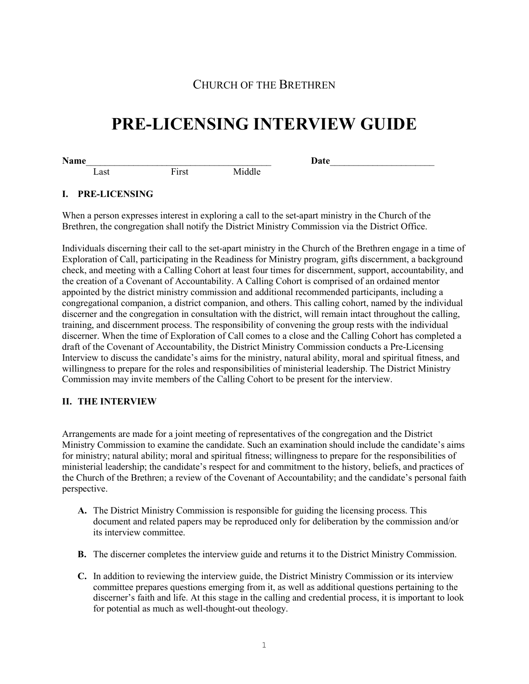# CHURCH OF THE BRETHREN

# **PRE-LICENSING INTERVIEW GUIDE**

**Name**\_\_\_\_\_\_\_\_\_\_\_\_\_\_\_\_\_\_\_\_\_\_\_\_\_\_\_\_\_\_\_\_\_\_\_\_\_\_\_ **Date**\_\_\_\_\_\_\_\_\_\_\_\_\_\_\_\_\_\_\_\_\_\_ Last First Middle

#### **I. PRE-LICENSING**

When a person expresses interest in exploring a call to the set-apart ministry in the Church of the Brethren, the congregation shall notify the District Ministry Commission via the District Office.

Individuals discerning their call to the set-apart ministry in the Church of the Brethren engage in a time of Exploration of Call, participating in the Readiness for Ministry program, gifts discernment, a background check, and meeting with a Calling Cohort at least four times for discernment, support, accountability, and the creation of a Covenant of Accountability. A Calling Cohort is comprised of an ordained mentor appointed by the district ministry commission and additional recommended participants, including a congregational companion, a district companion, and others. This calling cohort, named by the individual discerner and the congregation in consultation with the district, will remain intact throughout the calling, training, and discernment process. The responsibility of convening the group rests with the individual discerner. When the time of Exploration of Call comes to a close and the Calling Cohort has completed a draft of the Covenant of Accountability, the District Ministry Commission conducts a Pre-Licensing Interview to discuss the candidate's aims for the ministry, natural ability, moral and spiritual fitness, and willingness to prepare for the roles and responsibilities of ministerial leadership. The District Ministry Commission may invite members of the Calling Cohort to be present for the interview.

## **II. THE INTERVIEW**

Arrangements are made for a joint meeting of representatives of the congregation and the District Ministry Commission to examine the candidate. Such an examination should include the candidate's aims for ministry; natural ability; moral and spiritual fitness; willingness to prepare for the responsibilities of ministerial leadership; the candidate's respect for and commitment to the history, beliefs, and practices of the Church of the Brethren; a review of the Covenant of Accountability; and the candidate's personal faith perspective.

- **A.** The District Ministry Commission is responsible for guiding the licensing process. This document and related papers may be reproduced only for deliberation by the commission and/or its interview committee.
- **B.** The discerner completes the interview guide and returns it to the District Ministry Commission.
- **C.** In addition to reviewing the interview guide, the District Ministry Commission or its interview committee prepares questions emerging from it, as well as additional questions pertaining to the discerner's faith and life. At this stage in the calling and credential process, it is important to look for potential as much as well-thought-out theology.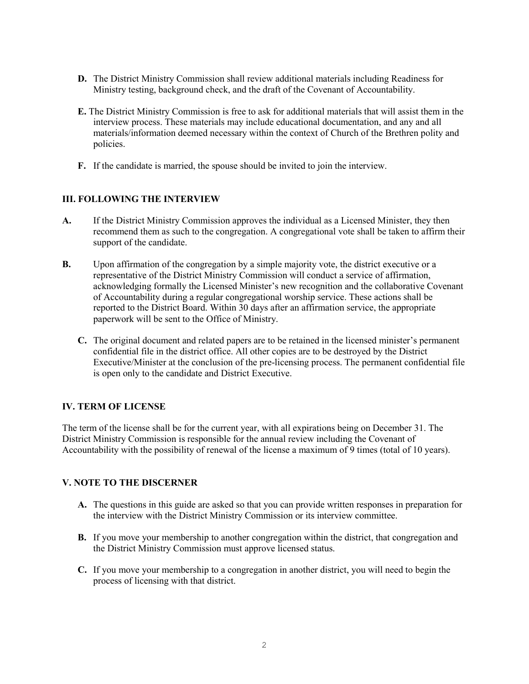- **D.** The District Ministry Commission shall review additional materials including Readiness for Ministry testing, background check, and the draft of the Covenant of Accountability.
- **E.** The District Ministry Commission is free to ask for additional materials that will assist them in the interview process. These materials may include educational documentation, and any and all materials/information deemed necessary within the context of Church of the Brethren polity and policies.
- **F.** If the candidate is married, the spouse should be invited to join the interview.

## **III. FOLLOWING THE INTERVIEW**

- **A.** If the District Ministry Commission approves the individual as a Licensed Minister, they then recommend them as such to the congregation. A congregational vote shall be taken to affirm their support of the candidate.
- **B.** Upon affirmation of the congregation by a simple majority vote, the district executive or a representative of the District Ministry Commission will conduct a service of affirmation, acknowledging formally the Licensed Minister's new recognition and the collaborative Covenant of Accountability during a regular congregational worship service. These actions shall be reported to the District Board. Within 30 days after an affirmation service, the appropriate paperwork will be sent to the Office of Ministry.
	- **C.** The original document and related papers are to be retained in the licensed minister's permanent confidential file in the district office. All other copies are to be destroyed by the District Executive/Minister at the conclusion of the pre-licensing process. The permanent confidential file is open only to the candidate and District Executive.

## **IV. TERM OF LICENSE**

The term of the license shall be for the current year, with all expirations being on December 31. The District Ministry Commission is responsible for the annual review including the Covenant of Accountability with the possibility of renewal of the license a maximum of 9 times (total of 10 years).

## **V. NOTE TO THE DISCERNER**

- **A.** The questions in this guide are asked so that you can provide written responses in preparation for the interview with the District Ministry Commission or its interview committee.
- **B.** If you move your membership to another congregation within the district, that congregation and the District Ministry Commission must approve licensed status.
- **C.** If you move your membership to a congregation in another district, you will need to begin the process of licensing with that district.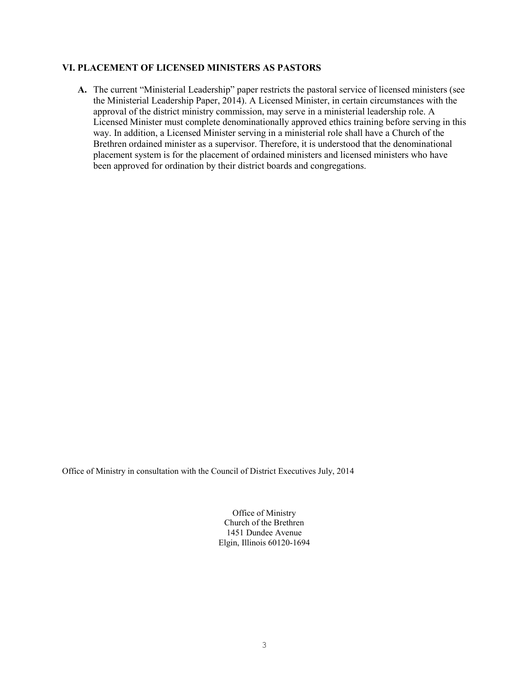#### **VI. PLACEMENT OF LICENSED MINISTERS AS PASTORS**

**A.** The current "Ministerial Leadership" paper restricts the pastoral service of licensed ministers (see the Ministerial Leadership Paper, 2014). A Licensed Minister, in certain circumstances with the approval of the district ministry commission, may serve in a ministerial leadership role. A Licensed Minister must complete denominationally approved ethics training before serving in this way. In addition, a Licensed Minister serving in a ministerial role shall have a Church of the Brethren ordained minister as a supervisor. Therefore, it is understood that the denominational placement system is for the placement of ordained ministers and licensed ministers who have been approved for ordination by their district boards and congregations.

Office of Ministry in consultation with the Council of District Executives July, 2014

Office of Ministry Church of the Brethren 1451 Dundee Avenue Elgin, Illinois 60120-1694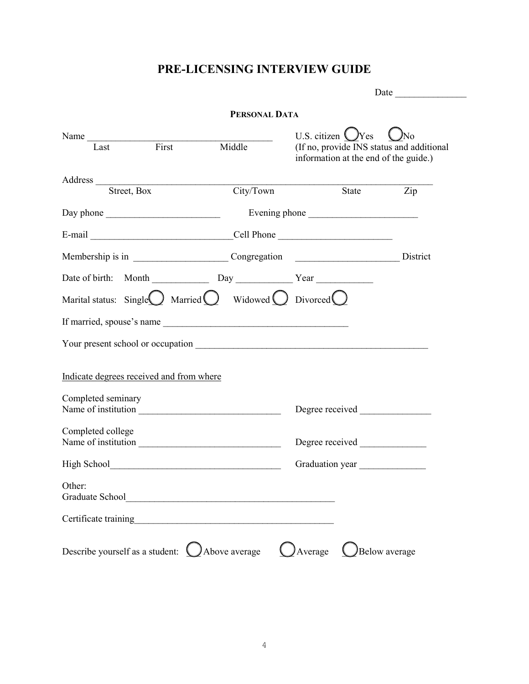# **PRE-LICENSING INTERVIEW GUIDE**

|                                          |       | PERSONAL DATA                                                                               |                                                                                                                  |               |
|------------------------------------------|-------|---------------------------------------------------------------------------------------------|------------------------------------------------------------------------------------------------------------------|---------------|
| Name<br>Last                             | First | Middle                                                                                      | U.S. citizen $\bigcup$ Yes<br>(If no, provide INS status and additional<br>information at the end of the guide.) | ÌNo           |
| Street, Box                              |       | City/Town                                                                                   |                                                                                                                  | State Zip     |
|                                          |       |                                                                                             |                                                                                                                  |               |
|                                          |       |                                                                                             |                                                                                                                  |               |
|                                          |       |                                                                                             | E-mail Cell Phone                                                                                                |               |
|                                          |       |                                                                                             | Membership is in ___________________________Congregation ___________________________District                     |               |
|                                          |       |                                                                                             |                                                                                                                  |               |
|                                          |       | Marital status: Single $\bigcirc$ Married $\bigcirc$ Widowed $\bigcirc$ Divorced $\bigcirc$ |                                                                                                                  |               |
|                                          |       |                                                                                             |                                                                                                                  |               |
|                                          |       |                                                                                             |                                                                                                                  |               |
| Indicate degrees received and from where |       |                                                                                             |                                                                                                                  |               |
| Completed seminary                       |       |                                                                                             |                                                                                                                  |               |
|                                          |       | Name of institution                                                                         |                                                                                                                  |               |
| Completed college                        |       |                                                                                             | Degree received                                                                                                  |               |
|                                          |       |                                                                                             | Graduation year                                                                                                  |               |
| Other:                                   |       |                                                                                             |                                                                                                                  |               |
| Certificate training                     |       |                                                                                             |                                                                                                                  |               |
|                                          |       | Describe yourself as a student: $\bigcup$ Above average                                     | $\bigcup$ Average                                                                                                | Below average |
|                                          |       |                                                                                             |                                                                                                                  |               |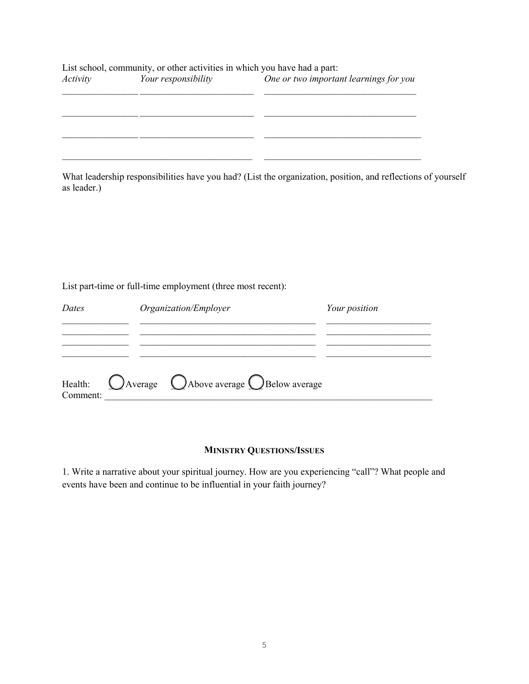|                 | List school, community, or other activities in which you have had a part: |                                        |
|-----------------|---------------------------------------------------------------------------|----------------------------------------|
| <i>Activity</i> | Your responsibility                                                       | One or two important learnings for you |
|                 |                                                                           |                                        |
|                 |                                                                           |                                        |
|                 |                                                                           |                                        |
|                 |                                                                           |                                        |
|                 |                                                                           |                                        |
|                 |                                                                           |                                        |

What leadership responsibilities have you had? (List the organization, position, and reflections of yourself as leader.)

List part-time or full-time employment (three most recent):

| Dates    | Organization/Employer                                                        | Your position |  |
|----------|------------------------------------------------------------------------------|---------------|--|
|          |                                                                              |               |  |
|          |                                                                              |               |  |
| Comment: | Health: $\bigcirc$ Average $\bigcirc$ Above average $\bigcirc$ Below average |               |  |

# **MINISTRY QUESTIONS/ISSUES**

1. Write a narrative about your spiritual journey. How are you experiencing "call"? What people and events have been and continue to be influential in your faith journey?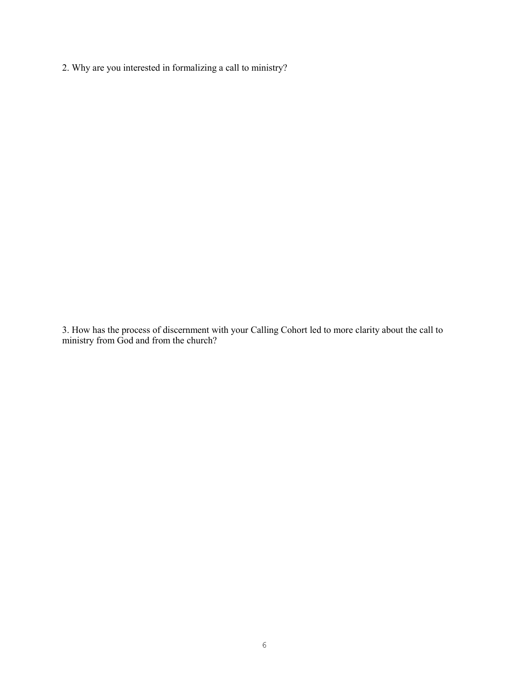2. Why are you interested in formalizing a call to ministry?

3. How has the process of discernment with your Calling Cohort led to more clarity about the call to ministry from God and from the church?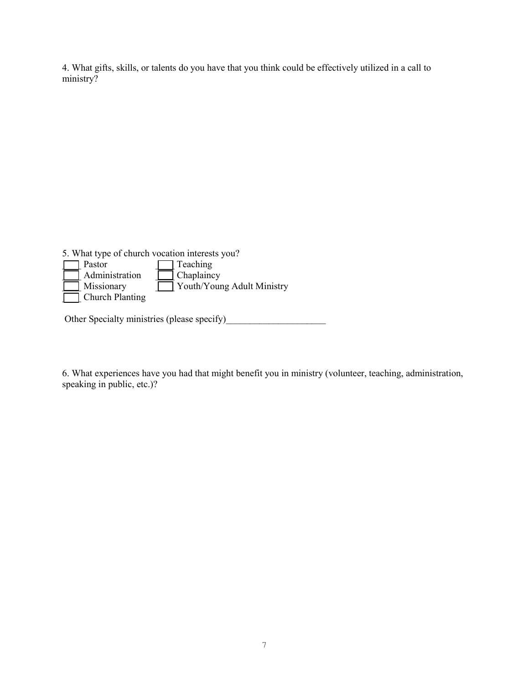4. What gifts, skills, or talents do you have that you think could be effectively utilized in a call to ministry?

5. What type of church vocation interests you?<br>  $\Box$  Pastor



Other Specialty ministries (please specify)

6. What experiences have you had that might benefit you in ministry (volunteer, teaching, administration, speaking in public, etc.)?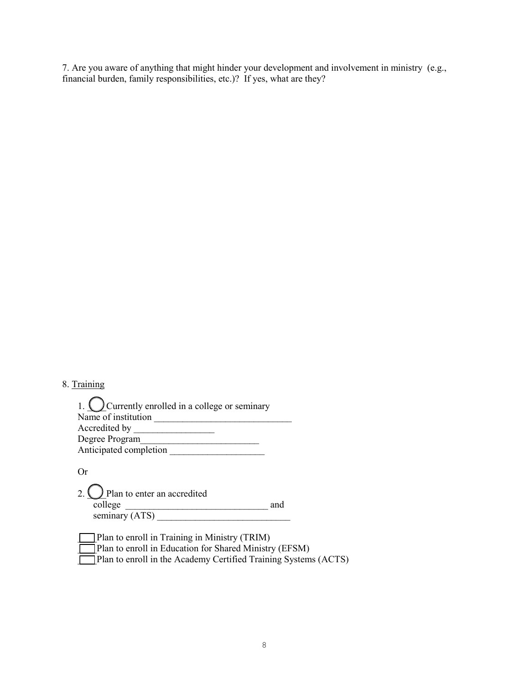7. Are you aware of anything that might hinder your development and involvement in ministry (e.g., financial burden, family responsibilities, etc.)? If yes, what are they?

# 8. Training

 $\overline{a}$ 

| 1. $\bigcup$ Currently enrolled in a college or seminary |
|----------------------------------------------------------|
| Name of institution                                      |
| Accredited by                                            |
| Degree Program                                           |
| Anticipated completion                                   |

Or

| 2. $\bigcirc$ Plan to enter an accredited |     |
|-------------------------------------------|-----|
| college                                   | and |
| seminary (ATS)                            |     |

| $\Box$ Plan to enroll in Training in Ministry (TRIM)                   |
|------------------------------------------------------------------------|
| <b>Plan to enroll in Education for Shared Ministry (EFSM)</b>          |
| <b>Plan to enroll in the Academy Certified Training Systems (ACTS)</b> |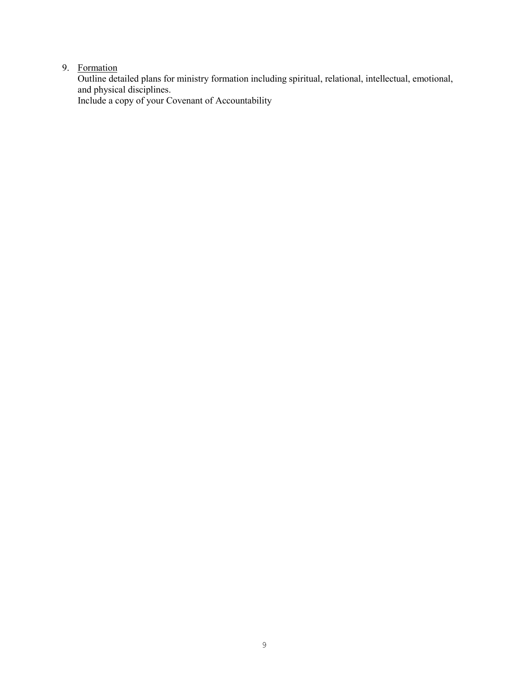#### 9. Formation

Outline detailed plans for ministry formation including spiritual, relational, intellectual, emotional, and physical disciplines. Include a copy of your Covenant of Accountability

9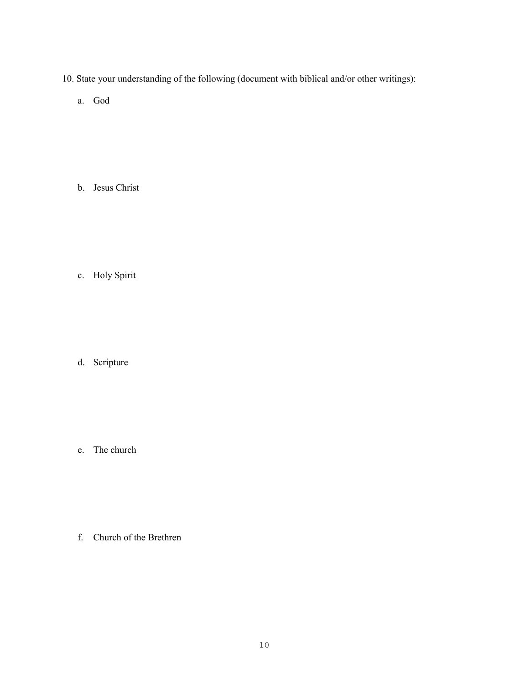- 10. State your understanding of the following (document with biblical and/or other writings):
	- a. God

b. Jesus Christ

c. Holy Spirit

d. Scripture

e. The church

f. Church of the Brethren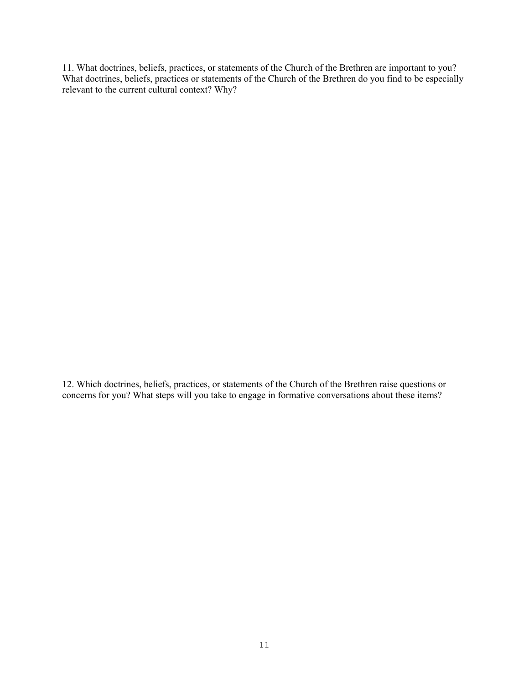11. What doctrines, beliefs, practices, or statements of the Church of the Brethren are important to you? What doctrines, beliefs, practices or statements of the Church of the Brethren do you find to be especially relevant to the current cultural context? Why?

12. Which doctrines, beliefs, practices, or statements of the Church of the Brethren raise questions or concerns for you? What steps will you take to engage in formative conversations about these items?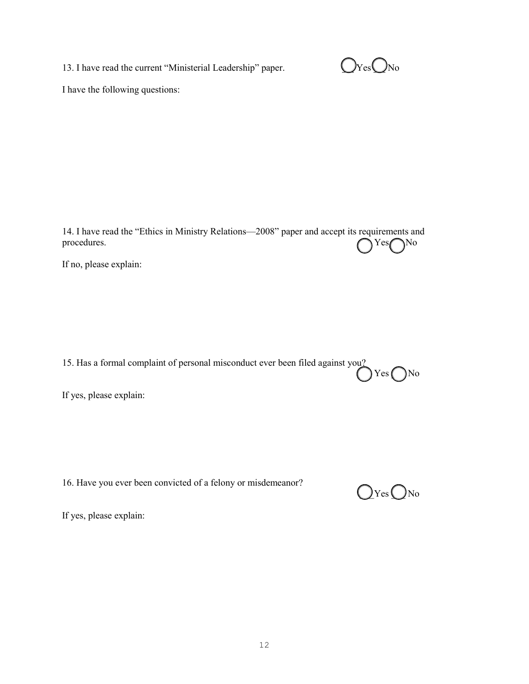13. I have read the current "Ministerial Leadership" paper.  $Q_{\text{Yes}}$ 



I have the following questions:

14. I have read the "Ethics in Ministry Relations—2008" paper and accept its requirements and procedures.  $\bigcap$  Yes $\bigcap$  No

If no, please explain:

15. Has a formal complaint of personal misconduct ever been filed against you?  $Yes$  No

If yes, please explain:

16. Have you ever been convicted of a felony or misdemeanor?



If yes, please explain: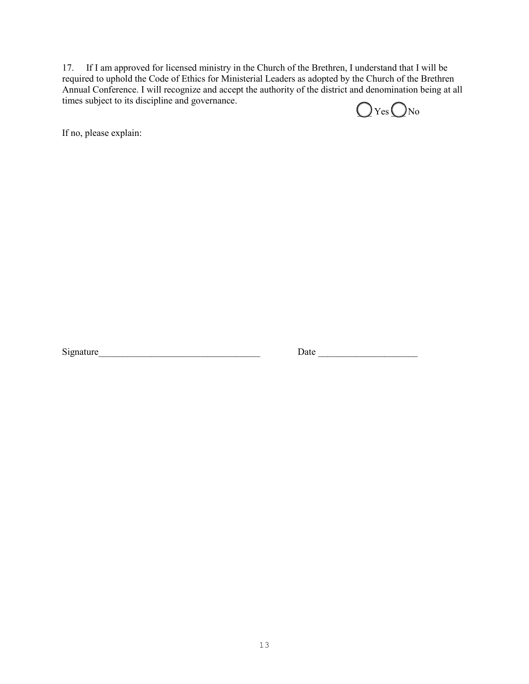17. If I am approved for licensed ministry in the Church of the Brethren, I understand that I will be required to uphold the Code of Ethics for Ministerial Leaders as adopted by the Church of the Brethren Annual Conference. I will recognize and accept the authority of the district and denomination being at all times subject to its discipline and governance.

 $\bigcirc$  Yes  $\bigcirc$  No

If no, please explain:

Signature\_\_\_\_\_\_\_\_\_\_\_\_\_\_\_\_\_\_\_\_\_\_\_\_\_\_\_\_\_\_\_\_\_\_ Date \_\_\_\_\_\_\_\_\_\_\_\_\_\_\_\_\_\_\_\_\_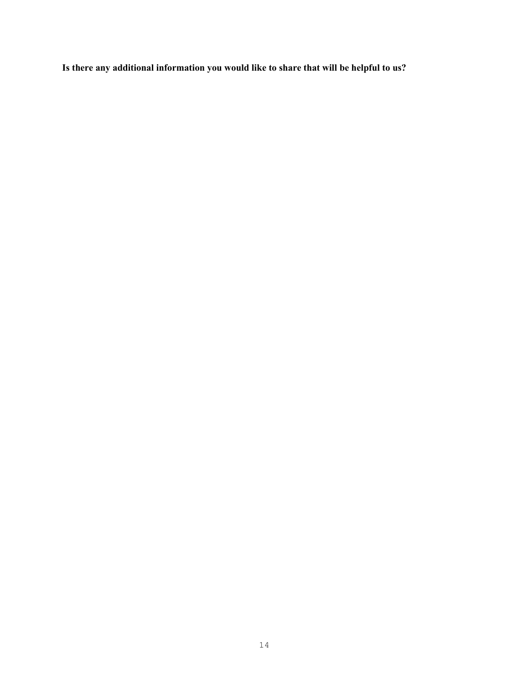**Is there any additional information you would like to share that will be helpful to us?**